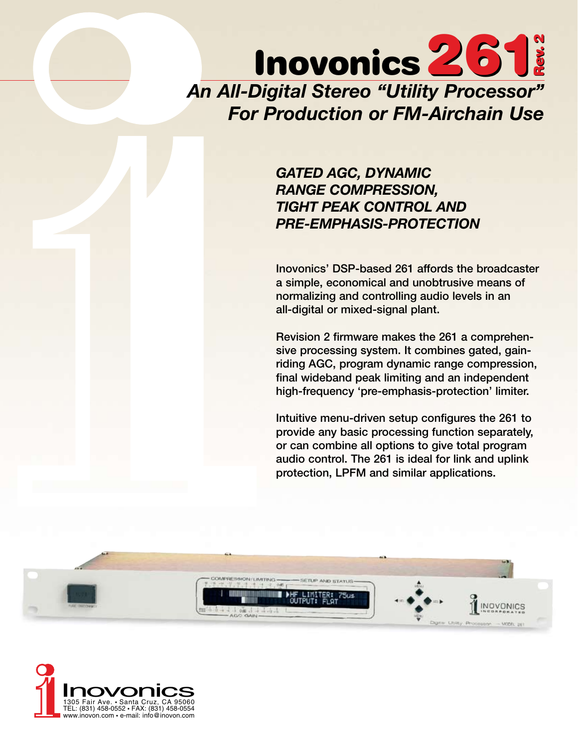# *An All-Digital Stereo "Utility Processor" For Production or FM-Airchain Use* Inovonics 26' Rev. 2

*GATED AGC, DYNAMIC RANGE COMPRESSION, TIGHT PEAK CONTROL AND PRE-EMPHASIS-PROTECTION*

Inovonics' DSP-based 261 affords the broadcaster a simple, economical and unobtrusive means of normalizing and controlling audio levels in an all-digital or mixed-signal plant.

Revision 2 firmware makes the 261 a comprehensive processing system. It combines gated, gainriding AGC, program dynamic range compression, final wideband peak limiting and an independent high-frequency 'pre-emphasis-protection' limiter.

Intuitive menu-driven setup configures the 261 to provide any basic processing function separately, or can combine all options to give total program audio control. The 261 is ideal for link and uplink protection, LPFM and similar applications.